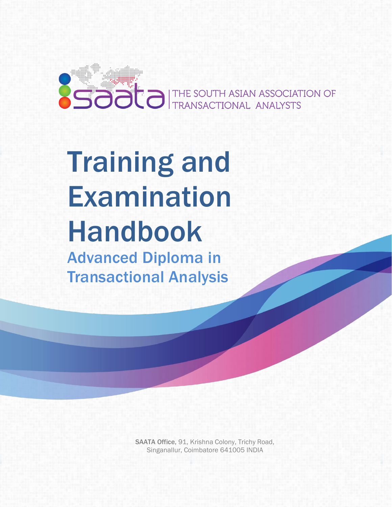

# Training and Examination Handbook Advanced Diploma in Transactional Analysis

SAATA Office, 91, Krishna Colony, Trichy Road, Singanallur, Coimbatore 641005 INDIA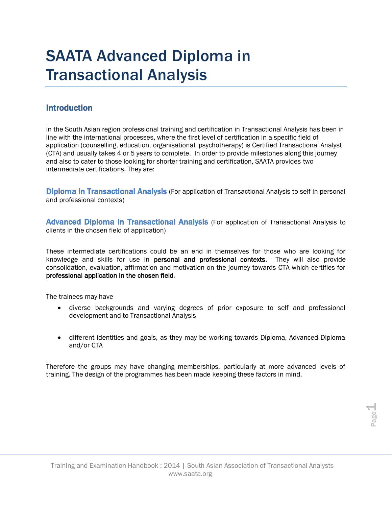### SAATA Advanced Diploma in Transactional Analysis

#### **Introduction**

In the South Asian region professional training and certification in Transactional Analysis has been in line with the international processes, where the first level of certification in a specific field of application (counselling, education, organisational, psychotherapy) is Certified Transactional Analyst (CTA) and usually takes 4 or 5 years to complete. In order to provide milestones along this journey and also to cater to those looking for shorter training and certification, SAATA provides two intermediate certifications. They are:

**Diploma in Transactional Analysis** (For application of Transactional Analysis to self in personal and professional contexts)

Advanced Diploma in Transactional Analysis (For application of Transactional Analysis to clients in the chosen field of application)

These intermediate certifications could be an end in themselves for those who are looking for knowledge and skills for use in personal and professional contexts. They will also provide consolidation, evaluation, affirmation and motivation on the journey towards CTA which certifies for professional application in the chosen field.

The trainees may have

- diverse backgrounds and varying degrees of prior exposure to self and professional development and to Transactional Analysis
- different identities and goals, as they may be working towards Diploma, Advanced Diploma and/or CTA

Therefore the groups may have changing memberships, particularly at more advanced levels of training. The design of the programmes has been made keeping these factors in mind.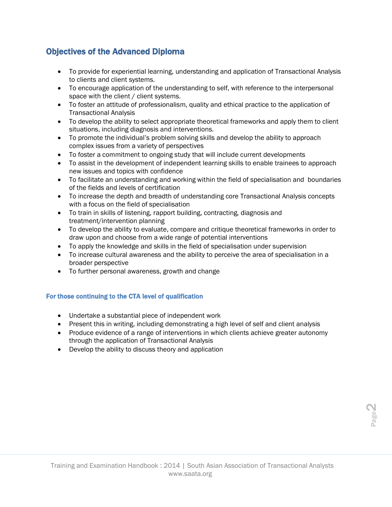#### Objectives of the Advanced Diploma

- To provide for experiential learning, understanding and application of Transactional Analysis to clients and client systems.
- To encourage application of the understanding to self, with reference to the interpersonal space with the client / client systems.
- To foster an attitude of professionalism, quality and ethical practice to the application of Transactional Analysis
- To develop the ability to select appropriate theoretical frameworks and apply them to client situations, including diagnosis and interventions.
- To promote the individual's problem solving skills and develop the ability to approach complex issues from a variety of perspectives
- To foster a commitment to ongoing study that will include current developments
- To assist in the development of independent learning skills to enable trainees to approach new issues and topics with confidence
- To facilitate an understanding and working within the field of specialisation and boundaries of the fields and levels of certification
- To increase the depth and breadth of understanding core Transactional Analysis concepts with a focus on the field of specialisation
- To train in skills of listening, rapport building, contracting, diagnosis and treatment/intervention planning
- To develop the ability to evaluate, compare and critique theoretical frameworks in order to draw upon and choose from a wide range of potential interventions
- To apply the knowledge and skills in the field of specialisation under supervision
- To increase cultural awareness and the ability to perceive the area of specialisation in a broader perspective
- To further personal awareness, growth and change

#### For those continuing to the CTA level of qualification

- Undertake a substantial piece of independent work
- Present this in writing, including demonstrating a high level of self and client analysis
- Produce evidence of a range of interventions in which clients achieve greater autonomy through the application of Transactional Analysis
- Develop the ability to discuss theory and application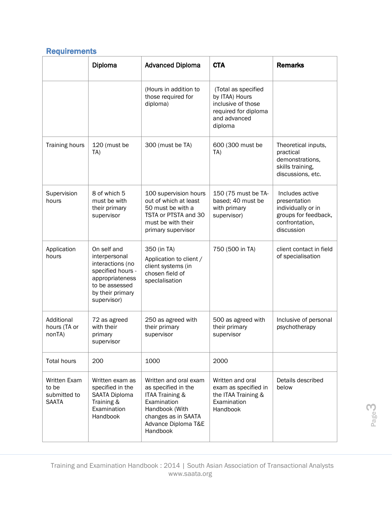### **Requirements**

|                                                              | Diploma                                                                                                                                       | <b>Advanced Diploma</b>                                                                                                                                    | <b>CTA</b>                                                                                                     | <b>Remarks</b>                                                                                                |
|--------------------------------------------------------------|-----------------------------------------------------------------------------------------------------------------------------------------------|------------------------------------------------------------------------------------------------------------------------------------------------------------|----------------------------------------------------------------------------------------------------------------|---------------------------------------------------------------------------------------------------------------|
|                                                              |                                                                                                                                               | (Hours in addition to<br>those required for<br>diploma)                                                                                                    | (Total as specified<br>by ITAA) Hours<br>inclusive of those<br>required for diploma<br>and advanced<br>diploma |                                                                                                               |
| Training hours                                               | 120 (must be<br>TA)                                                                                                                           | 300 (must be TA)                                                                                                                                           | 600 (300 must be<br>TA)                                                                                        | Theoretical inputs,<br>practical<br>demonstrations,<br>skills training,<br>discussions, etc.                  |
| Supervision<br>hours                                         | 8 of which 5<br>must be with<br>their primary<br>supervisor                                                                                   | 100 supervision hours<br>out of which at least<br>50 must be with a<br>TSTA or PTSTA and 30<br>must be with their<br>primary supervisor                    | 150 (75 must be TA-<br>based; 40 must be<br>with primary<br>supervisor)                                        | Includes active<br>presentation<br>individually or in<br>groups for feedback,<br>confrontation,<br>discussion |
| Application<br>hours                                         | On self and<br>interpersonal<br>interactions (no<br>specified hours -<br>appropriateness<br>to be assessed<br>by their primary<br>supervisor) | 350 (in TA)<br>Application to client /<br>client systems (in<br>chosen field of<br>speclalisation                                                          | 750 (500 in TA)                                                                                                | client contact in field<br>of specialisation                                                                  |
| Additional<br>hours (TA or<br>nonTA)                         | 72 as agreed<br>with their<br>primary<br>supervisor                                                                                           | 250 as agreed with<br>their primary<br>supervisor                                                                                                          | 500 as agreed with<br>their primary<br>supervisor                                                              | Inclusive of personal<br>psychotherapy                                                                        |
| <b>Total hours</b>                                           | 200                                                                                                                                           | 1000                                                                                                                                                       | 2000                                                                                                           |                                                                                                               |
| <b>Written Exam</b><br>to be<br>submitted to<br><b>SAATA</b> | Written exam as<br>specified in the<br>SAATA Diploma<br>Training &<br>Examination<br>Handbook                                                 | Written and oral exam<br>as specified in the<br>ITAA Training &<br>Examination<br>Handbook (With<br>changes as in SAATA<br>Advance Diploma T&E<br>Handbook | Written and oral<br>exam as specified in<br>the ITAA Training &<br>Examination<br>Handbook                     | Details described<br>below                                                                                    |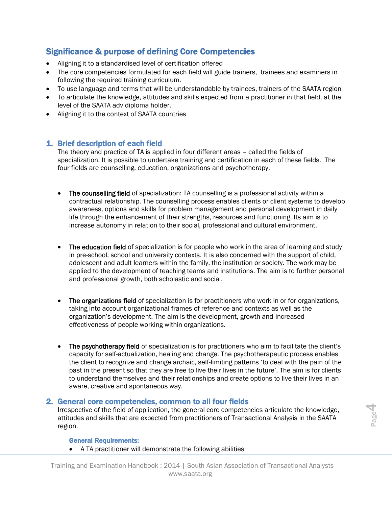#### Significance & purpose of defining Core Competencies

- Aligning it to a standardised level of certification offered
- The core competencies formulated for each field will guide trainers, trainees and examiners in following the required training curriculum.
- To use language and terms that will be understandable by trainees, trainers of the SAATA region
- To articulate the knowledge, attitudes and skills expected from a practitioner in that field, at the level of the SAATA adv diploma holder.
- Aligning it to the context of SAATA countries

#### 1. Brief description of each field

The theory and practice of TA is applied in four different areas – called the fields of specialization. It is possible to undertake training and certification in each of these fields. The four fields are counselling, education, organizations and psychotherapy.

- The counselling field of specialization: TA counselling is a professional activity within a contractual relationship. The counselling process enables clients or client systems to develop awareness, options and skills for problem management and personal development in daily life through the enhancement of their strengths, resources and functioning. Its aim is to increase autonomy in relation to their social, professional and cultural environment.
- The education field of specialization is for people who work in the area of learning and study in pre-school, school and university contexts. It is also concerned with the support of child, adolescent and adult learners within the family, the institution or society. The work may be applied to the development of teaching teams and institutions. The aim is to further personal and professional growth, both scholastic and social.
- The organizations field of specialization is for practitioners who work in or for organizations, taking into account organizational frames of reference and contexts as well as the organization's development. The aim is the development, growth and increased effectiveness of people working within organizations.
- The psychotherapy field of specialization is for practitioners who aim to facilitate the client's capacity for self-actualization, healing and change. The psychotherapeutic process enables the client to recognize and change archaic, self-limiting patterns 'to deal with the pain of the past in the present so that they are free to live their lives in the future'. The aim is for clients to understand themselves and their relationships and create options to live their lives in an aware, creative and spontaneous way.

#### 2. General core competencies, common to all four fields

**Example 2018** Transactional Analysis in the SAATA<br> **Example 2019** Transactional Analysis in the SAATA<br> **Repared Requirements:**<br>
• A TA practitioner will demonstrate the following abilities<br>
Training and Examination Handbo Irrespective of the field of application, the general core competencies articulate the knowledge, attitudes and skills that are expected from practitioners of Transactional Analysis in the SAATA region.

#### General Requirements:

• A TA practitioner will demonstrate the following abilities

Training and Examination Handbook : 2014 | South Asian Association of Transactional Analysts www.saata.org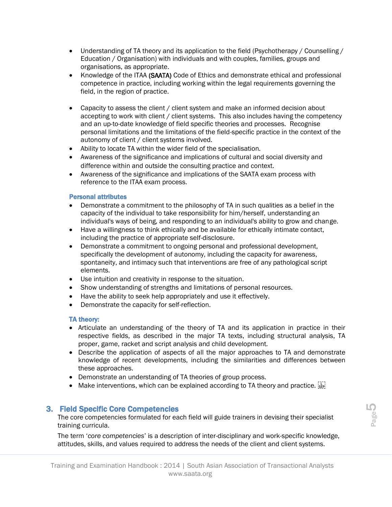- Understanding of TA theory and its application to the field (Psychotherapy / Counselling / Education / Organisation) with individuals and with couples, families, groups and organisations, as appropriate.
- Knowledge of the ITAA (SAATA) Code of Ethics and demonstrate ethical and professional competence in practice, including working within the legal requirements governing the field, in the region of practice.
- Capacity to assess the client / client system and make an informed decision about accepting to work with client / client systems. This also includes having the competency and an up-to-date knowledge of field specific theories and processes. Recognise personal limitations and the limitations of the field-specific practice in the context of the autonomy of client / client systems involved.
- Ability to locate TA within the wider field of the specialisation.
- Awareness of the significance and implications of cultural and social diversity and difference within and outside the consulting practice and context.
- Awareness of the significance and implications of the SAATA exam process with reference to the ITAA exam process.

#### Personal attributes

- Demonstrate a commitment to the philosophy of TA in such qualities as a belief in the capacity of the individual to take responsibility for him/herself, understanding an individual's ways of being, and responding to an individual's ability to grow and change.
- Have a willingness to think ethically and be available for ethically intimate contact, including the practice of appropriate self-disclosure.
- Demonstrate a commitment to ongoing personal and professional development, specifically the development of autonomy, including the capacity for awareness, spontaneity, and intimacy such that interventions are free of any pathological script elements.
- Use intuition and creativity in response to the situation.
- Show understanding of strengths and limitations of personal resources.
- Have the ability to seek help appropriately and use it effectively.
- Demonstrate the capacity for self-reflection.

#### TA theory:

- Articulate an understanding of the theory of TA and its application in practice in their respective fields, as described in the major TA texts, including structural analysis, TA proper, game, racket and script analysis and child development.
- Describe the application of aspects of all the major approaches to TA and demonstrate knowledge of recent developments, including the similarities and differences between these approaches.
- Demonstrate an understanding of TA theories of group process.
- Make interventions, which can be explained according to TA theory and practice.  $\frac{1}{15}$

#### 3. Field Specific Core Competencies

The core competencies formulated for each field will guide trainers in devising their specialist training curricula.

The core competencies formulated for each field will guide trainers in devising their specialist<br>training curricula.<br>The term 'core competencies' is a description of inter-disciplinary and work-specific knowledge,<br>attitude The term '*core competencies*' is a description of inter-disciplinary and work-specific knowledge, attitudes, skills, and values required to address the needs of the client and client systems.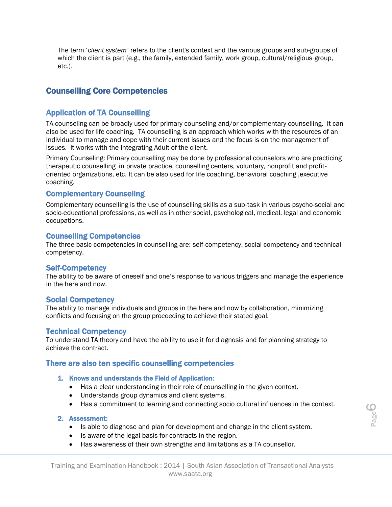The term '*client system'* refers to the client's context and the various groups and sub-groups of which the client is part (e.g., the family, extended family, work group, cultural/religious group, etc.).

#### Counselling Core Competencies

#### Application of TA Counselling

TA counseling can be broadly used for primary counseling and/or complementary counselling. It can also be used for life coaching. TA counselling is an approach which works with the resources of an individual to manage and cope with their current issues and the focus is on the management of issues. It works with the Integrating Adult of the client.

Primary Counseling: Primary counselling may be done by professional counselors who are practicing therapeutic counselling in private practice, counselling centers, voluntary, nonprofit and profitoriented organizations, etc. It can be also used for life coaching, behavioral coaching ,executive coaching.

#### Complementary Counseling

Complementary counselling is the use of counselling skills as a sub-task in various psycho-social and socio-educational professions, as well as in other social, psychological, medical, legal and economic occupations.

#### Counselling Competencies

The three basic competencies in counselling are: self-competency, social competency and technical competency.

#### Self-Competency

The ability to be aware of oneself and one's response to various triggers and manage the experience in the here and now.

#### Social Competency

The ability to manage individuals and groups in the here and now by collaboration, minimizing conflicts and focusing on the group proceeding to achieve their stated goal.

#### Technical Competency

To understand TA theory and have the ability to use it for diagnosis and for planning strategy to achieve the contract.

#### There are also ten specific counselling competencies

#### 1. Knows and understands the Field of Application:

- Has a clear understanding in their role of counselling in the given context.
- Understands group dynamics and client systems.
- Has a commitment to learning and connecting socio cultural influences in the context.

#### 2. Assessment:

- Is able to diagnose and plan for development and change in the client system.
- Is aware of the legal basis for contracts in the region.
- Has awareness of their own strengths and limitations as a TA counsellor.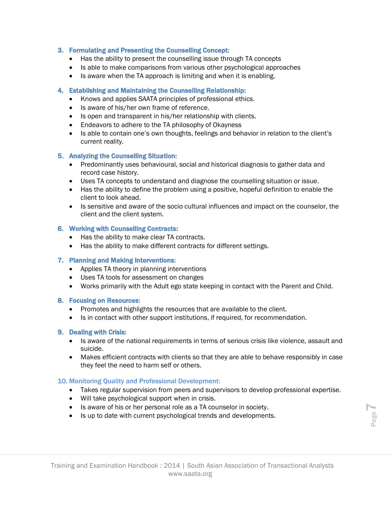#### 3. Formulating and Presenting the Counselling Concept:

- Has the ability to present the counselling issue through TA concepts
- Is able to make comparisons from various other psychological approaches
- Is aware when the TA approach is limiting and when it is enabling.

#### 4. Establishing and Maintaining the Counselling Relationship:

- Knows and applies SAATA principles of professional ethics.
- Is aware of his/her own frame of reference.
- Is open and transparent in his/her relationship with clients.
- Endeavors to adhere to the TA philosophy of Okayness
- Is able to contain one's own thoughts, feelings and behavior in relation to the client's current reality.

#### 5. Analyzing the Counselling Situation:

- Predominantly uses behavioural, social and historical diagnosis to gather data and record case history.
- Uses TA concepts to understand and diagnose the counselling situation or issue.
- Has the ability to define the problem using a positive, hopeful definition to enable the client to look ahead.
- Is sensitive and aware of the socio cultural influences and impact on the counselor, the client and the client system.

#### 6. Working with Counselling Contracts:

- Has the ability to make clear TA contracts.
- Has the ability to make different contracts for different settings.

#### 7. Planning and Making Interventions:

- Applies TA theory in planning interventions
- Uses TA tools for assessment on changes
- Works primarily with the Adult ego state keeping in contact with the Parent and Child.

#### 8. Focusing on Resources:

- Promotes and highlights the resources that are available to the client.
- Is in contact with other support institutions, if required, for recommendation.

#### 9. Dealing with Crisis:

- Is aware of the national requirements in terms of serious crisis like violence, assault and suicide.
- Makes efficient contracts with clients so that they are able to behave responsibly in case they feel the need to harm self or others.

#### 10. Monitoring Quality and Professional Development:

- Takes regular supervision from peers and supervisors to develop professional expertise.
- Will take psychological support when in crisis.
- Is aware of his or her personal role as a TA counselor in society.
- Is up to date with current psychological trends and developments.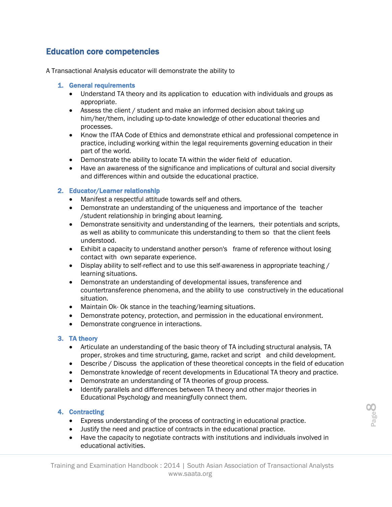#### Education core competencies

A Transactional Analysis educator will demonstrate the ability to

#### 1. General requirements

- Understand TA theory and its application to education with individuals and groups as appropriate.
- Assess the client / student and make an informed decision about taking up him/her/them, including up-to-date knowledge of other educational theories and processes.
- Know the ITAA Code of Ethics and demonstrate ethical and professional competence in practice, including working within the legal requirements governing education in their part of the world.
- Demonstrate the ability to locate TA within the wider field of education.
- Have an awareness of the significance and implications of cultural and social diversity and differences within and outside the educational practice.

#### 2. Educator/Learner relationship

- Manifest a respectful attitude towards self and others.
- Demonstrate an understanding of the uniqueness and importance of the teacher /student relationship in bringing about learning.
- Demonstrate sensitivity and understanding of the learners, their potentials and scripts, as well as ability to communicate this understanding to them so that the client feels understood.
- Exhibit a capacity to understand another person's frame of reference without losing contact with own separate experience.
- Display ability to self-reflect and to use this self-awareness in appropriate teaching / learning situations.
- Demonstrate an understanding of developmental issues, transference and countertransference phenomena, and the ability to use constructively in the educational situation.
- Maintain Ok- Ok stance in the teaching/learning situations.
- Demonstrate potency, protection, and permission in the educational environment.
- Demonstrate congruence in interactions.

#### 3. TA theory

- Articulate an understanding of the basic theory of TA including structural analysis, TA proper, strokes and time structuring, game, racket and script and child development.
- Describe / Discuss the application of these theoretical concepts in the field of education
- Demonstrate knowledge of recent developments in Educational TA theory and practice.
- Demonstrate an understanding of TA theories of group process.
- Identify parallels and differences between TA theory and other major theories in Educational Psychology and meaningfully connect them.

#### 4. Contracting

- Express understanding of the process of contracting in educational practice.
- Justify the need and practice of contracts in the educational practice.
- Have the capacity to negotiate contracts with institutions and individuals involved in educational activities.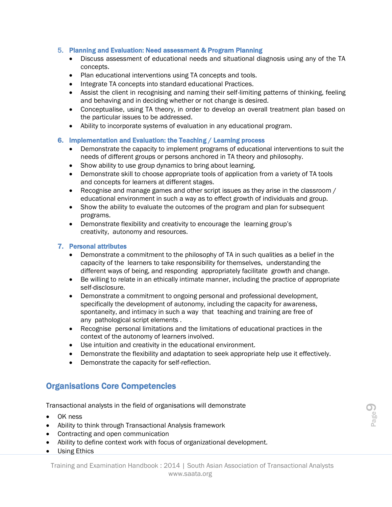#### 5. Planning and Evaluation: Need assessment & Program Planning

- Discuss assessment of educational needs and situational diagnosis using any of the TA concepts.
- Plan educational interventions using TA concepts and tools.
- Integrate TA concepts into standard educational Practices.
- Assist the client in recognising and naming their self-limiting patterns of thinking, feeling and behaving and in deciding whether or not change is desired.
- Conceptualise, using TA theory, in order to develop an overall treatment plan based on the particular issues to be addressed.
- Ability to incorporate systems of evaluation in any educational program.

#### 6. Implementation and Evaluation: the Teaching / Learning process

- Demonstrate the capacity to implement programs of educational interventions to suit the needs of different groups or persons anchored in TA theory and philosophy.
- Show ability to use group dynamics to bring about learning.
- Demonstrate skill to choose appropriate tools of application from a variety of TA tools and concepts for learners at different stages.
- Recognise and manage games and other script issues as they arise in the classroom / educational environment in such a way as to effect growth of individuals and group.
- Show the ability to evaluate the outcomes of the program and plan for subsequent programs.
- Demonstrate flexibility and creativity to encourage the learning group's creativity, autonomy and resources.

#### 7. Personal attributes

- Demonstrate a commitment to the philosophy of TA in such qualities as a belief in the capacity of the learners to take responsibility for themselves, understanding the different ways of being, and responding appropriately facilitate growth and change.
- Be willing to relate in an ethically intimate manner, including the practice of appropriate self-disclosure.
- Demonstrate a commitment to ongoing personal and professional development, specifically the development of autonomy, including the capacity for awareness, spontaneity, and intimacy in such a way that teaching and training are free of any pathological script elements .
- Recognise personal limitations and the limitations of educational practices in the context of the autonomy of learners involved.
- Use intuition and creativity in the educational environment.
- Demonstrate the flexibility and adaptation to seek appropriate help use it effectively.
- Demonstrate the capacity for self-reflection.

#### Organisations Core Competencies

Transactional analysts in the field of organisations will demonstrate

- OK ness
- Ability to think through Transactional Analysis framework
- Contracting and open communication
- Ability to define context work with focus of organizational development.
- Using Ethics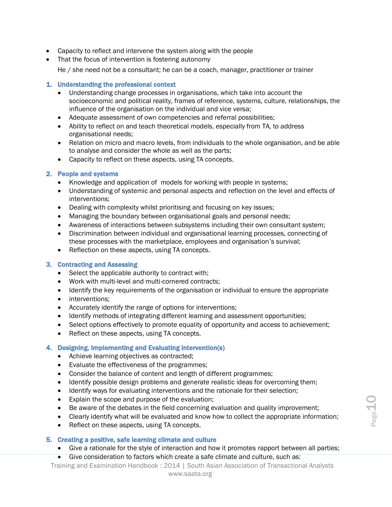- Capacity to reflect and intervene the system along with the people
- That the focus of intervention is fostering autonomy
	- He / she need not be a consultant; he can be a coach, manager, practitioner or trainer

#### 1. Understanding the professional context

- Understanding change processes in organisations, which take into account the socioeconomic and political reality, frames of reference, systems, culture, relationships, the influence of the organisation on the individual and vice versa;
- Adequate assessment of own competencies and referral possibilities;
- Ability to reflect on and teach theoretical models, especially from TA, to address organisational needs;
- Relation on micro and macro levels, from individuals to the whole organisation, and be able to analyse and consider the whole as well as the parts;
- Capacity to reflect on these aspects, using TA concepts.

#### 2. People and systems

- Knowledge and application of models for working with people in systems;
- Understanding of systemic and personal aspects and reflection on the level and effects of interventions;
- Dealing with complexity whilst prioritising and focusing on key issues;
- Managing the boundary between organisational goals and personal needs;
- Awareness of interactions between subsystems including their own consultant system;
- Discrimination between individual and organisational learning processes, connecting of these processes with the marketplace, employees and organisation's survival;
- Reflection on these aspects, using TA concepts.

#### 3. Contracting and Assessing

- Select the applicable authority to contract with;
- Work with multi-level and multi-cornered contracts;
- Identify the key requirements of the organisation or individual to ensure the appropriate
- interventions;
- Accurately identify the range of options for interventions;
- Identify methods of integrating different learning and assessment opportunities;
- Select options effectively to promote equality of opportunity and access to achievement;
- Reflect on these aspects, using TA concepts.

#### 4. Designing, Implementing and Evaluating intervention(s)

- Achieve learning objectives as contracted;
- Evaluate the effectiveness of the programmes;
- Consider the balance of content and length of different programmes;
- Identify possible design problems and generate realistic ideas for overcoming them;
- Identify ways for evaluating interventions and the rationale for their selection;
- Explain the scope and purpose of the evaluation;
- Be aware of the debates in the field concerning evaluation and quality improvement;
- Clearly identify what will be evaluated and know how to collect the appropriate information;
- Reflect on these aspects, using TA concepts.

#### 5. Creating a positive, safe learning climate and culture

- Give a rationale for the style of interaction and how it promotes rapport between all parties;
- Give consideration to factors which create a safe climate and culture, such as:

Training and Examination Handbook : 2014 | South Asian Association of Transactional Analysts www.saata.org • Explain the scope and purpose of the evaluation;<br>
• Be aware of the debates in the field concerning evaluation and quality improvement;<br>
• Clearly identify what will be evaluated and know how to collect the appropriate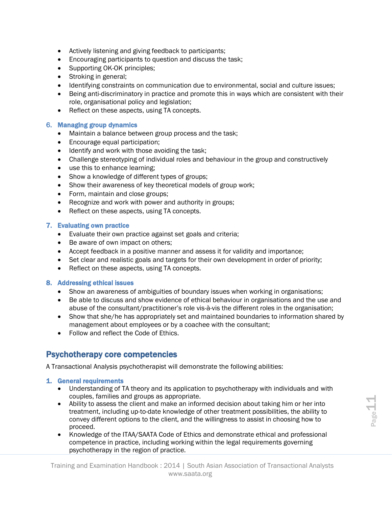- Actively listening and giving feedback to participants;
- Encouraging participants to question and discuss the task;
- Supporting OK-OK principles;
- Stroking in general;
- Identifying constraints on communication due to environmental, social and culture issues;
- Being anti-discriminatory in practice and promote this in ways which are consistent with their role, organisational policy and legislation;
- Reflect on these aspects, using TA concepts.

#### 6. Managing group dynamics

- Maintain a balance between group process and the task;
- Encourage equal participation;
- Identify and work with those avoiding the task;
- Challenge stereotyping of individual roles and behaviour in the group and constructively
- use this to enhance learning;
- Show a knowledge of different types of groups;
- Show their awareness of key theoretical models of group work;
- Form, maintain and close groups;
- Recognize and work with power and authority in groups;
- Reflect on these aspects, using TA concepts.

#### 7. Evaluating own practice

- Evaluate their own practice against set goals and criteria;
- Be aware of own impact on others;
- Accept feedback in a positive manner and assess it for validity and importance;
- Set clear and realistic goals and targets for their own development in order of priority;
- Reflect on these aspects, using TA concepts.

#### 8. Addressing ethical issues

- Show an awareness of ambiguities of boundary issues when working in organisations;
- Be able to discuss and show evidence of ethical behaviour in organisations and the use and abuse of the consultant/practitioner's role vis-à-vis the different roles in the organisation;
- Show that she/he has appropriately set and maintained boundaries to information shared by management about employees or by a coachee with the consultant;
- Follow and reflect the Code of Ethics.

#### Psychotherapy core competencies

A Transactional Analysis psychotherapist will demonstrate the following abilities:

#### 1. General requirements

- Understanding of TA theory and its application to psychotherapy with individuals and with couples, families and groups as appropriate.
- Folliples, ramilies and groups as appropriate.<br>
 Ability to assess the client and make an informed decision about taking him or her into<br>
treatment, including up-to-date knowledge of other treatment possibilities, the abi • Ability to assess the client and make an informed decision about taking him or her into treatment, including up-to-date knowledge of other treatment possibilities, the ability to convey different options to the client, and the willingness to assist in choosing how to proceed.
	- Knowledge of the ITAA/SAATA Code of Ethics and demonstrate ethical and professional competence in practice, including working within the legal requirements governing psychotherapy in the region of practice.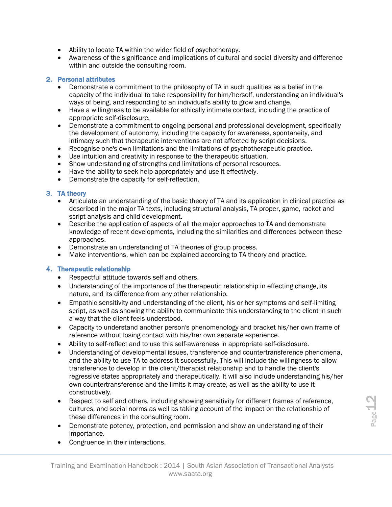- Ability to locate TA within the wider field of psychotherapy.
- Awareness of the significance and implications of cultural and social diversity and difference within and outside the consulting room.

#### 2. Personal attributes

- Demonstrate a commitment to the philosophy of TA in such qualities as a belief in the capacity of the individual to take responsibility for him/herself, understanding an individual's ways of being, and responding to an individual's ability to grow and change.
- Have a willingness to be available for ethically intimate contact, including the practice of appropriate self-disclosure.
- Demonstrate a commitment to ongoing personal and professional development, specifically the development of autonomy, including the capacity for awareness, spontaneity, and intimacy such that therapeutic interventions are not affected by script decisions.
- Recognise one's own limitations and the limitations of psychotherapeutic practice.
- Use intuition and creativity in response to the therapeutic situation.
- Show understanding of strengths and limitations of personal resources.
- Have the ability to seek help appropriately and use it effectively.
- Demonstrate the capacity for self-reflection.

#### 3. TA theory

- Articulate an understanding of the basic theory of TA and its application in clinical practice as described in the major TA texts, including structural analysis, TA proper, game, racket and script analysis and child development.
- Describe the application of aspects of all the major approaches to TA and demonstrate knowledge of recent developments, including the similarities and differences between these approaches.
- Demonstrate an understanding of TA theories of group process.
- Make interventions, which can be explained according to TA theory and practice.

#### 4. Therapeutic relationship

- Respectful attitude towards self and others.
- Understanding of the importance of the therapeutic relationship in effecting change, its nature, and its difference from any other relationship.
- Empathic sensitivity and understanding of the client, his or her symptoms and self-limiting script, as well as showing the ability to communicate this understanding to the client in such a way that the client feels understood.
- Capacity to understand another person's phenomenology and bracket his/her own frame of reference without losing contact with his/her own separate experience.
- Ability to self-reflect and to use this self-awareness in appropriate self-disclosure.
- Understanding of developmental issues, transference and countertransference phenomena, and the ability to use TA to address it successfully. This will include the willingness to allow transference to develop in the client/therapist relationship and to handle the client's regressive states appropriately and therapeutically. It will also include understanding his/her own countertransference and the limits it may create, as well as the ability to use it constructively.
- Respect to self and others, including showing sensitivity for different frames of reference,<br>
cultures, and social norms as well as taking account of the impact on the relationship of<br>
these differences in the consulting • Respect to self and others, including showing sensitivity for different frames of reference, cultures, and social norms as well as taking account of the impact on the relationship of these differences in the consulting room.
	- Demonstrate potency, protection, and permission and show an understanding of their importance.
	- Congruence in their interactions.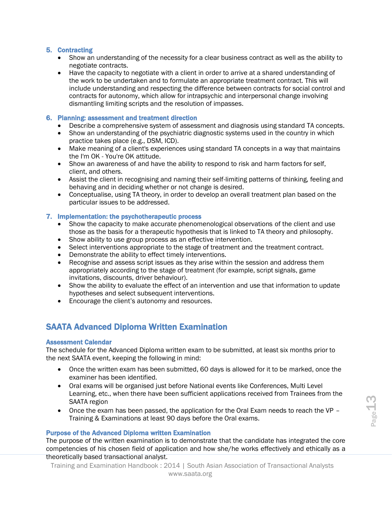#### 5. Contracting

- Show an understanding of the necessity for a clear business contract as well as the ability to negotiate contracts.
- Have the capacity to negotiate with a client in order to arrive at a shared understanding of the work to be undertaken and to formulate an appropriate treatment contract. This will include understanding and respecting the difference between contracts for social control and contracts for autonomy, which allow for intrapsychic and interpersonal change involving dismantling limiting scripts and the resolution of impasses.

#### 6. Planning: assessment and treatment direction

- Describe a co*m*prehensive system of assessment and diagnosis using standard TA concepts.
- Show an understanding of the psychiatric diagnostic systems used in the country in which practice takes place (e.g., DSM, ICD).
- Make meaning of a client's experiences using standard TA concepts in a way that maintains the I'm OK - You're OK attitude.
- Show an awareness of and have the ability to respond to risk and harm factors for self, client, and others.
- Assist the client in recognising and naming their self-limiting patterns of thinking, feeling and behaving and in deciding whether or not change is desired.
- Conceptualise, using TA theory, in order to develop an overall treatment plan based on the particular issues to be addressed.

#### 7. Implementation: the psychotherapeutic process

- Show the capacity to make accurate phenomenological observations of the client and use those as the basis for a therapeutic hypothesis that is linked to TA theory and philosophy.
- Show ability to use group process as an effective intervention.
- Select interventions appropriate to the stage of treatment and the treatment contract.
- Demonstrate the ability to effect timely interventions.
- Recognise and assess script issues as they arise within the session and address them appropriately according to the stage of treatment (for example, script signals, game invitations, discounts, driver behaviour).
- Show the ability to evaluate the effect of an intervention and use that information to update hypotheses and select subsequent interventions.
- Encourage the client's autonomy and resources.

#### SAATA Advanced Diploma Written Examination

#### Assessment Calendar

The schedule for the Advanced Diploma written exam to be submitted, at least six months prior to the next SAATA event, keeping the following in mind:

- Once the written exam has been submitted, 60 days is allowed for it to be marked, once the examiner has been identified.
- Oral exams will be organised just before National events like Conferences, Multi Level Learning, etc., when there have been sufficient applications received from Trainees from the SAATA region
- Once the exam has been passed, the application for the Oral Exam needs to reach the VP Training & Examinations at least 90 days before the Oral exams.

#### Purpose of the Advanced Diploma written Examination

SAATA region<br>
• Once the exam has been passed, the application for the Oral Exam needs to reach the VP –<br>
Training & Examinations at least 90 days before the Oral exams.<br> **Purpose of the Advanced Diploma written Examinatio** The purpose of the written examination is to demonstrate that the candidate has integrated the core competencies of his chosen field of application and how she/he works effectively and ethically as a theoretically based transactional analyst.

Training and Examination Handbook : 2014 | South Asian Association of Transactional Analysts www.saata.org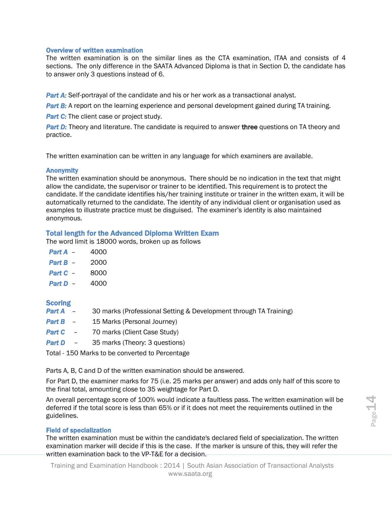#### Overview of written examination

The written examination is on the similar lines as the CTA examination, ITAA and consists of 4 sections. The only difference in the SAATA Advanced Diploma is that in Section D, the candidate has to answer only 3 questions instead of 6.

**Part A:** Self-portrayal of the candidate and his or her work as a transactional analyst.

**Part B:** A report on the learning experience and personal development gained during TA training.

*Part C:* The client case or project study.

**Part D:** Theory and literature. The candidate is required to answer three questions on TA theory and practice.

The written examination can be written in any language for which examiners are available.

#### **Anonymity**

The written examination should be anonymous. There should be no indication in the text that might allow the candidate, the supervisor or trainer to be identified. This requirement is to protect the candidate. If the candidate identifies his/her training institute or trainer in the written exam, it will be automatically returned to the candidate. The identity of any individual client or organisation used as examples to illustrate practice must be disguised. The examiner's identity is also maintained anonymous.

#### Total length for the Advanced Diploma Written Exam

The word limit is 18000 words, broken up as follows

| Part A - | 4000 |
|----------|------|
| Part B - | 2000 |
| Part C - | 8000 |

*Part D – 4000* 

#### **Scoring**

- **Part A** 30 marks (Professional Setting & Development through TA Training)
- **Part B** 15 Marks (Personal Journey)
- **Part C** 70 marks (Client Case Study)
- **Part D** 35 marks (Theory: 3 questions)

Total - 150 Marks to be converted to Percentage

Parts A, B, C and D of the written examination should be answered.

For Part D, the examiner marks for 75 (i.e. 25 marks per answer) and adds only half of this score to the final total, amounting close to 35 weightage for Part D.

An overall percentage score of 100% would indicate a faultless pass. The written examination will be deferred if the total score is less than 65% or if it does not meet the requirements outlined in the guidelines.

#### Field of specialization

An overall percentage score of 100% would indicate a faultless pass. The written examination will be<br>deferred if the total score is less than 65% or if it does not meet the requirements outlined in the<br>guidelines.<br>Field of The written examination must be within the candidate's declared field of specialization. The written examination marker will decide if this is the case. If the marker is unsure of this, they will refer the written examination back to the VP-T&E for a decision.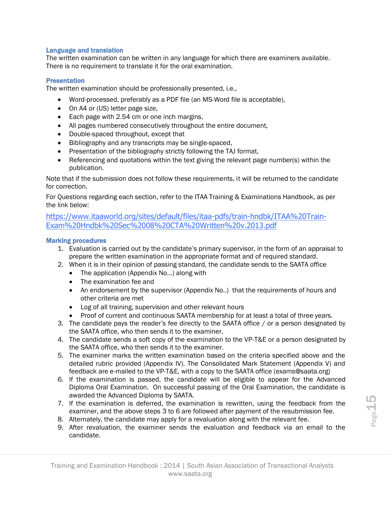#### Language and translation

The written examination can be written in any language for which there are examiners available. There is no requirement to translate it for the oral examination.

#### **Presentation**

The written examination should be professionally presented, i.e.,

- Word-processed, preferably as a PDF file (an MS-Word file is acceptable),
- On A4 or (US) letter page size,
- Each page with 2.54 cm or one inch margins,
- All pages numbered consecutively throughout the entire document,
- Double-spaced throughout, except that
- Bibliography and any transcripts may be single-spaced,
- Presentation of the bibliography strictly following the TAJ format,
- Referencing and quotations within the text giving the relevant page number(s) within the publication.

Note that if the submission does not follow these requirements, it will be returned to the candidate for correction.

For Questions regarding each section, refer to the ITAA Training & Examinations Handbook, as per the link below:

https://www.itaaworld.org/sites/default/files/itaa-pdfs/train-hndbk/ITAA%20Train-Exam%20Hndbk%20Sec%2008%20CTA%20Written%20v.2013.pdf

#### Marking procedures

- 1. Evaluation is carried out by the candidate's primary supervisor, in the form of an appraisal to prepare the written examination in the appropriate format and of required standard.
- 2. When it is in their opinion of passing standard, the candidate sends to the SAATA office
	- The application (Appendix No...) along with
	- The examination fee and
	- An endorsement by the supervisor (Appendix No..) that the requirements of hours and other criteria are met
	- Log of all training, supervision and other relevant hours
	- Proof of current and continuous SAATA membership for at least a total of three years.
- 3. The candidate pays the reader's fee directly to the SAATA office / or a person designated by the SAATA office, who then sends it to the examiner.
- 4. The candidate sends a soft copy of the examination to the VP-T&E or a person designated by the SAATA office, who then sends it to the examiner.
- 5. The examiner marks the written examination based on the criteria specified above and the detailed rubric provided (Appendix IV). The Consolidated Mark Statement (Appendix V) and feedback are e-mailed to the VP-T&E, with a copy to the SAATA office (exams@saata.org)
- 6. If the examination is passed, the candidate will be eligible to appear for the Advanced Diploma Oral Examination. On successful passing of the Oral Examination, the candidate is awarded the Advanced Diploma by SAATA.
- For the examination is deferred, the examination is rewritten, using the feedback from the examiner, and the above steps 3 to 6 are followed after payment of the resubmission fee.<br>
8. Alternately, the candidate may apply f 7. If the examination is deferred, the examination is rewritten, using the feedback from the examiner, and the above steps 3 to 6 are followed after payment of the resubmission fee.
	- 8. Alternately, the candidate may apply for a revaluation along with the relevant fee.
	- 9. After revaluation, the examiner sends the evaluation and feedback via an email to the candidate.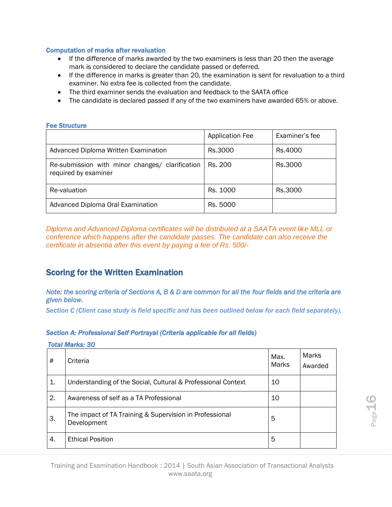#### Computation of marks after revaluation

- If the difference of marks awarded by the two examiners is less than 20 then the average mark is considered to declare the candidate passed or deferred.
- If the difference in marks is greater than 20, the examination is sent for revaluation to a third examiner. No extra fee is collected from the candidate.
- The third examiner sends the evaluation and feedback to the SAATA office
- The candidate is declared passed if any of the two examiners have awarded 65% or above.

#### Fee Structure

|                                                                         | <b>Application Fee</b> | Examiner's fee |
|-------------------------------------------------------------------------|------------------------|----------------|
| Advanced Diploma Written Examination                                    | Rs.3000                | Rs.4000        |
| Re-submission with minor changes/ clarification<br>required by examiner | Rs. 200                | Rs.3000        |
| Re-valuation                                                            | Rs. 1000               | Rs.3000        |
| Advanced Diploma Oral Examination                                       | Rs. 5000               |                |

*Diploma and Advanced Diploma certificates will be distributed at a SAATA event like MLL or conference which happens after the candidate passes. The candidate can also receive the certificate in absentia after this event by paying a fee of Rs. 500/-*

#### Scoring for the Written Examination

*Note: the scoring criteria of Sections A, B & D are common for all the four fields and the criteria are given below.* 

*Section C (Client case study is field specific and has been outlined below for each field separately).*

#### *Section A: Professional Self Portrayal (Criteria applicable for all fields)*

#### *Total Marks: 30*

| #                                                                                                            | Criteria                                                               | Max.<br>Marks | Marks<br>Awarded |                   |  |
|--------------------------------------------------------------------------------------------------------------|------------------------------------------------------------------------|---------------|------------------|-------------------|--|
| 1.                                                                                                           | Understanding of the Social, Cultural & Professional Context           | 10            |                  |                   |  |
| 2.                                                                                                           | Awareness of self as a TA Professional                                 | 10            |                  |                   |  |
| 3.                                                                                                           | The impact of TA Training & Supervision in Professional<br>Development | 5             |                  | Page <sup>1</sup> |  |
| 4.                                                                                                           | <b>Ethical Position</b>                                                | 5             |                  |                   |  |
| Training and Examination Handbook: 2014   South Asian Association of Transactional Analysts<br>www.saata.org |                                                                        |               |                  |                   |  |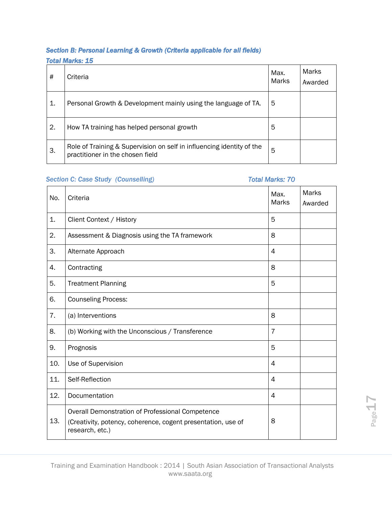#### *Section B: Personal Learning & Growth (Criteria applicable for all fields) Total Marks: 15*

| #  | Criteria                                                                                                  | Max.<br><b>Marks</b> | <b>Marks</b><br>Awarded |
|----|-----------------------------------------------------------------------------------------------------------|----------------------|-------------------------|
| 1. | Personal Growth & Development mainly using the language of TA.                                            | 5                    |                         |
| 2. | How TA training has helped personal growth                                                                | 5                    |                         |
| 3. | Role of Training & Supervision on self in influencing identity of the<br>practitioner in the chosen field | 5                    |                         |

#### *Section C: Case Study (Counselling) Total Marks: 70*

| No. | Criteria                                                                                                                            | Max.<br><b>Marks</b>     | <b>Marks</b><br>Awarded |       |  |
|-----|-------------------------------------------------------------------------------------------------------------------------------------|--------------------------|-------------------------|-------|--|
| 1.  | Client Context / History                                                                                                            | 5                        |                         |       |  |
| 2.  | Assessment & Diagnosis using the TA framework                                                                                       | 8                        |                         |       |  |
| 3.  | Alternate Approach                                                                                                                  | 4                        |                         |       |  |
| 4.  | Contracting                                                                                                                         | 8                        |                         |       |  |
| 5.  | <b>Treatment Planning</b>                                                                                                           | 5                        |                         |       |  |
| 6.  | <b>Counseling Process:</b>                                                                                                          |                          |                         |       |  |
| 7.  | (a) Interventions                                                                                                                   | 8                        |                         |       |  |
| 8.  | (b) Working with the Unconscious / Transference                                                                                     | $\overline{7}$           |                         |       |  |
| 9.  | Prognosis                                                                                                                           | 5                        |                         |       |  |
| 10. | Use of Supervision                                                                                                                  | $\overline{\mathcal{A}}$ |                         |       |  |
| 11. | Self-Reflection                                                                                                                     | 4                        |                         |       |  |
| 12. | Documentation                                                                                                                       | 4                        |                         |       |  |
| 13. | Overall Demonstration of Professional Competence<br>(Creativity, potency, coherence, cogent presentation, use of<br>research, etc.) | 8                        |                         | Page- |  |
|     |                                                                                                                                     |                          |                         |       |  |
|     | Training and Examination Handbook: 2014   South Asian Association of Transactional Analysts<br>www.saata.org                        |                          |                         |       |  |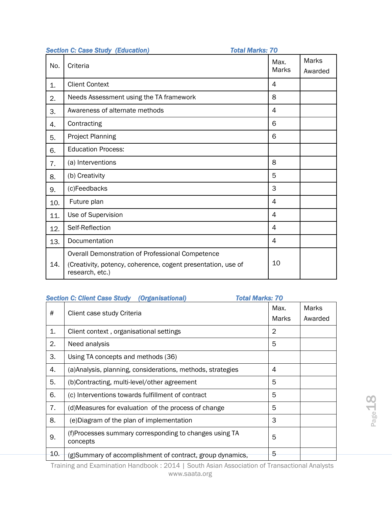|     | <b>Section C: Case Study (Education)</b><br><b>Total Marks: 70</b>                                                                  |                      |                         |
|-----|-------------------------------------------------------------------------------------------------------------------------------------|----------------------|-------------------------|
| No. | Criteria                                                                                                                            | Max.<br><b>Marks</b> | <b>Marks</b><br>Awarded |
| 1.  | <b>Client Context</b>                                                                                                               | 4                    |                         |
| 2.  | Needs Assessment using the TA framework                                                                                             | 8                    |                         |
| 3.  | Awareness of alternate methods                                                                                                      | 4                    |                         |
| 4.  | Contracting                                                                                                                         | 6                    |                         |
| 5.  | <b>Project Planning</b>                                                                                                             | 6                    |                         |
| 6.  | <b>Education Process:</b>                                                                                                           |                      |                         |
| 7.  | (a) Interventions                                                                                                                   | 8                    |                         |
| 8.  | (b) Creativity                                                                                                                      | 5                    |                         |
| 9.  | (c)Feedbacks                                                                                                                        | 3                    |                         |
| 10. | Future plan                                                                                                                         | 4                    |                         |
| 11. | Use of Supervision                                                                                                                  | $\overline{4}$       |                         |
| 12. | Self-Reflection                                                                                                                     | 4                    |                         |
| 13. | Documentation                                                                                                                       | 4                    |                         |
| 14. | Overall Demonstration of Professional Competence<br>(Creativity, potency, coherence, cogent presentation, use of<br>research, etc.) | 10                   |                         |

#### *Section C: Client Case Study (Organisational) Total Marks: 70*

| $\#$ | Client case study Criteria                                                                                   | Max.<br>Marks  | Marks<br>Awarded |
|------|--------------------------------------------------------------------------------------------------------------|----------------|------------------|
| 1.   | Client context, organisational settings                                                                      | $\overline{2}$ |                  |
| 2.   | Need analysis                                                                                                | 5              |                  |
| 3.   | Using TA concepts and methods (36)                                                                           |                |                  |
| 4.   | (a) Analysis, planning, considerations, methods, strategies                                                  | 4              |                  |
| 5.   | (b)Contracting, multi-level/other agreement                                                                  | 5              |                  |
| 6.   | (c) Interventions towards fulfillment of contract                                                            | 5              |                  |
| 7.   | (d) Measures for evaluation of the process of change                                                         | 5              |                  |
| 8.   | (e) Diagram of the plan of implementation                                                                    | 3              |                  |
| 9.   | (f)Processes summary corresponding to changes using TA<br>concepts                                           | 5              |                  |
| 10.  | (g)Summary of accomplishment of contract, group dynamics,                                                    | 5              |                  |
|      | Training and Examination Handbook: 2014   South Asian Association of Transactional Analysts<br>www.saata.org |                |                  |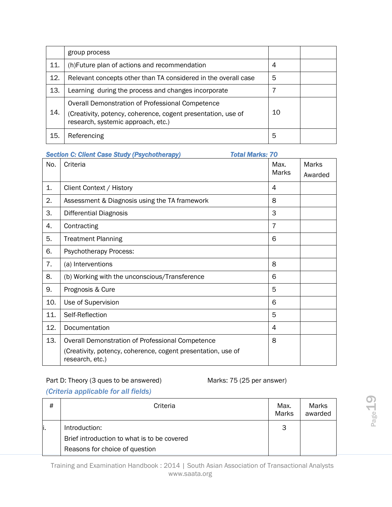|     | group process                                                                                                                                          |    |  |
|-----|--------------------------------------------------------------------------------------------------------------------------------------------------------|----|--|
| 11. | (h) Future plan of actions and recommendation                                                                                                          | 4  |  |
| 12. | Relevant concepts other than TA considered in the overall case                                                                                         | 5  |  |
| 13. | Learning during the process and changes incorporate                                                                                                    |    |  |
| 14. | Overall Demonstration of Professional Competence<br>(Creativity, potency, coherence, cogent presentation, use of<br>research, systemic approach, etc.) | 10 |  |
| 15. | Referencing                                                                                                                                            | 5  |  |

| <b>Total Marks: 70</b><br><b>Section C: Client Case Study (Psychotherapy)</b> |                                                                                 |                |              |  |
|-------------------------------------------------------------------------------|---------------------------------------------------------------------------------|----------------|--------------|--|
| No.                                                                           | Criteria                                                                        | Max.           | <b>Marks</b> |  |
|                                                                               |                                                                                 | <b>Marks</b>   | Awarded      |  |
| 1.                                                                            | Client Context / History                                                        | 4              |              |  |
| 2.                                                                            | Assessment & Diagnosis using the TA framework                                   | 8              |              |  |
| 3.                                                                            | <b>Differential Diagnosis</b>                                                   | 3              |              |  |
| 4.                                                                            | Contracting                                                                     | $\overline{7}$ |              |  |
| 5.                                                                            | <b>Treatment Planning</b>                                                       | 6              |              |  |
| 6.                                                                            | <b>Psychotherapy Process:</b>                                                   |                |              |  |
| 7.                                                                            | (a) Interventions                                                               | 8              |              |  |
| 8.                                                                            | (b) Working with the unconscious/Transference                                   | 6              |              |  |
| 9.                                                                            | Prognosis & Cure                                                                | 5              |              |  |
| 10.                                                                           | Use of Supervision                                                              | 6              |              |  |
| 11.                                                                           | Self-Reflection                                                                 | 5              |              |  |
| 12.                                                                           | Documentation                                                                   | 4              |              |  |
| 13.                                                                           | Overall Demonstration of Professional Competence                                | 8              |              |  |
|                                                                               | (Creativity, potency, coherence, cogent presentation, use of<br>research, etc.) |                |              |  |

#### Part D: Theory (3 ques to be answered) Marks: 75 (25 per answer)

#### *(Criteria applicable for all fields)*

| #<br>Criteria                                                                                                | Max.<br>Marks | Marks<br>awarded |
|--------------------------------------------------------------------------------------------------------------|---------------|------------------|
| Introduction:                                                                                                | 3             |                  |
| Brief introduction to what is to be covered                                                                  |               |                  |
| Reasons for choice of question                                                                               |               |                  |
| Training and Examination Handbook: 2014   South Asian Association of Transactional Analysts<br>www.saata.org |               |                  |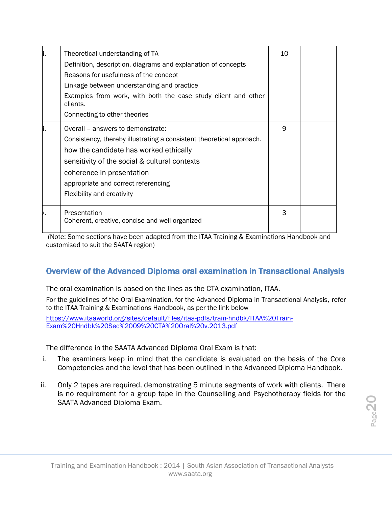| ۱. | Theoretical understanding of TA<br>Definition, description, diagrams and explanation of concepts<br>Reasons for usefulness of the concept<br>Linkage between understanding and practice<br>Examples from work, with both the case study client and other<br>clients.<br>Connecting to other theories   | 10 |  |
|----|--------------------------------------------------------------------------------------------------------------------------------------------------------------------------------------------------------------------------------------------------------------------------------------------------------|----|--|
|    | Overall - answers to demonstrate:<br>Consistency, thereby illustrating a consistent theoretical approach.<br>how the candidate has worked ethically<br>sensitivity of the social & cultural contexts<br>coherence in presentation<br>appropriate and correct referencing<br>Flexibility and creativity | 9  |  |
|    | Presentation<br>Coherent, creative, concise and well organized                                                                                                                                                                                                                                         | 3  |  |

(Note: Some sections have been adapted from the ITAA Training & Examinations Handbook and customised to suit the SAATA region)

#### Overview of the Advanced Diploma oral examination in Transactional Analysis

The oral examination is based on the lines as the CTA examination, ITAA.

For the guidelines of the Oral Examination, for the Advanced Diploma in Transactional Analysis, refer to the ITAA Training & Examinations Handbook, as per the link below

[https://www.itaaworld.org/sites/default/files/itaa-pdfs/train-hndbk/ITAA%20Train-](https://www.itaaworld.org/sites/default/files/itaa-pdfs/train-hndbk/ITAA%20Train-Exam%20Hndbk%20Sec%2009%20CTA%20Oral%20v.2013.pdf)[Exam%20Hndbk%20Sec%2009%20CTA%20Oral%20v.2013.pdf](https://www.itaaworld.org/sites/default/files/itaa-pdfs/train-hndbk/ITAA%20Train-Exam%20Hndbk%20Sec%2009%20CTA%20Oral%20v.2013.pdf)

The difference in the SAATA Advanced Diploma Oral Exam is that:

- i. The examiners keep in mind that the candidate is evaluated on the basis of the Core Competencies and the level that has been outlined in the Advanced Diploma Handbook.
- ii. Only 2 tapes are required, demonstrating 5 minute segments of work with clients. There is no requirement for a group tape in the Counselling and Psychotherapy fields for the SAATA Advanced Diploma Exam.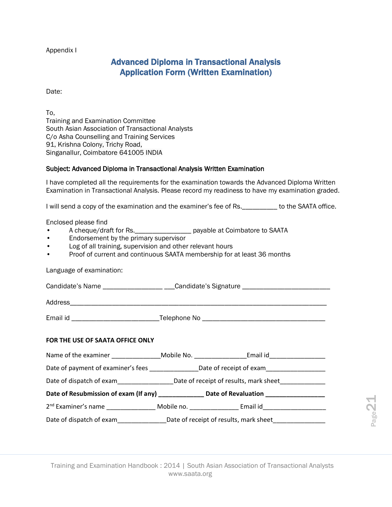Appendix I

#### Advanced Diploma in Transactional Analysis Application Form (Written Examination)

Date:

To,

Training and Examination Committee South Asian Association of Transactional Analysts C/o Asha Counselling and Training Services 91, Krishna Colony, Trichy Road, Singanallur, Coimbatore 641005 INDIA

#### Subject: Advanced Diploma in Transactional Analysis Written Examination

I have completed all the requirements for the examination towards the Advanced Diploma Written Examination in Transactional Analysis. Please record my readiness to have my examination graded.

I will send a copy of the examination and the examiner's fee of Rs. \_\_\_\_\_\_\_\_\_\_ to the SAATA office.

Enclosed please find

- A cheque/draft for Rs.\_\_\_\_\_\_\_\_\_\_\_\_\_\_\_\_ payable at Coimbatore to SAATA
- Endorsement by the primary supervisor
- Log of all training, supervision and other relevant hours
- Proof of current and continuous SAATA membership for at least 36 months

Language of examination:

Candidate's Name \_\_\_\_\_\_\_\_\_\_\_\_\_\_\_\_\_\_\_\_\_\_\_\_\_Candidate's Signature \_\_\_\_\_\_\_\_\_\_\_\_\_\_\_\_

Address

Email id \_\_\_\_\_\_\_\_\_\_\_\_\_\_\_\_\_\_\_\_\_\_\_\_\_Telephone No \_\_\_\_\_\_\_\_\_\_\_\_\_\_\_\_\_\_\_\_\_\_\_\_\_\_\_\_\_\_\_\_\_\_\_

#### **FOR THE USE OF SAATA OFFICE ONLY**

|  |                                                                                             | Name of the examiner ___________________Mobile No. ______________________________                              |                   |
|--|---------------------------------------------------------------------------------------------|----------------------------------------------------------------------------------------------------------------|-------------------|
|  |                                                                                             | Date of payment of examiner's fees ______________________Date of receipt of exam______________________________ |                   |
|  |                                                                                             |                                                                                                                |                   |
|  | Date of Resubmission of exam (If any) _______________ Date of Revaluation _________________ |                                                                                                                |                   |
|  |                                                                                             | 2 <sup>nd</sup> Examiner's name ___________________ Mobile no. __________________ Email id___________________  |                   |
|  |                                                                                             | Date of dispatch of exam_______________________Date of receipt of results, mark sheet________________________  | Page <sup>2</sup> |
|  |                                                                                             |                                                                                                                |                   |
|  |                                                                                             |                                                                                                                |                   |
|  | www.saata.org                                                                               | Training and Examination Handbook: 2014   South Asian Association of Transactional Analysts                    |                   |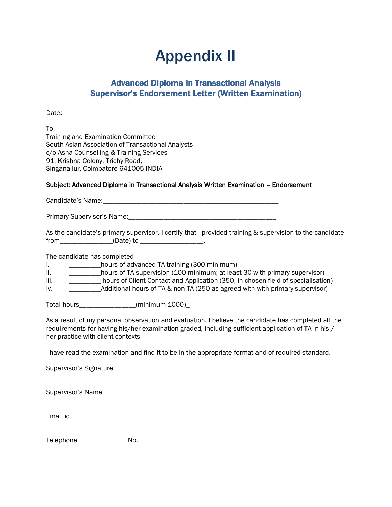### Appendix II

#### Advanced Diploma in Transactional Analysis Supervisor's Endorsement Letter (Written Examination)

Date:

To, Training and Examination Committee South Asian Association of Transactional Analysts c/o Asha Counselling & Training Services 91, Krishna Colony, Trichy Road, Singanallur, Coimbatore 641005 INDIA

#### Subject: Advanced Diploma in Transactional Analysis Written Examination – Endorsement

Candidate's Name: <u>canadidate</u> of the set of the set of the set of the set of the set of the set of the set of the set of the set of the set of the set of the set of the set of the set of the set of the set of the set of t

Primary Supervisor's Name:\_\_\_\_\_\_\_\_\_\_\_\_\_\_\_\_\_\_\_\_\_\_\_\_\_\_\_\_\_\_\_\_\_\_\_\_\_\_\_\_\_\_

| As the candidate's primary supervisor, I certify that I provided training & supervision to the candidate |           |  |  |  |
|----------------------------------------------------------------------------------------------------------|-----------|--|--|--|
| from                                                                                                     | (Date) to |  |  |  |

The candidate has completed

i. \_\_\_\_\_\_\_\_\_\_\_\_hours of advanced TA training (300 minimum)

ii. **Example 20 minimum** bours of TA supervision (100 minimum; at least 30 with primary supervisor)

iii. \_\_\_\_\_\_\_\_\_\_\_ hours of Client Contact and Application (350, in chosen field of specialisation)

iv. Additional hours of TA & non TA (250 as agreed with with primary supervisor)

Total hours (minimum 1000)

As a result of my personal observation and evaluation, I believe the candidate has completed all the requirements for having his/her examination graded, including sufficient application of TA in his / her practice with client contexts

I have read the examination and find it to be in the appropriate format and of required standard.

Supervisor's Signature \_\_\_\_\_\_\_\_\_\_\_\_\_\_\_\_\_\_\_\_\_\_\_\_\_\_\_\_\_\_\_\_\_\_\_\_\_\_\_\_\_\_\_\_\_\_\_\_\_\_\_\_\_

Supervisor's Name\_\_\_\_\_\_\_\_\_\_\_\_\_\_\_\_\_\_\_\_\_\_\_\_\_\_\_\_\_\_\_\_\_\_\_\_\_\_\_\_\_\_\_\_\_\_\_\_\_\_\_\_\_\_\_\_

Email id

Telephone No.\_\_\_\_\_\_\_\_\_\_\_\_\_\_\_\_\_\_\_\_\_\_\_\_\_\_\_\_\_\_\_\_\_\_\_\_\_\_\_\_\_\_\_\_\_\_\_\_\_\_\_\_\_\_\_\_\_\_\_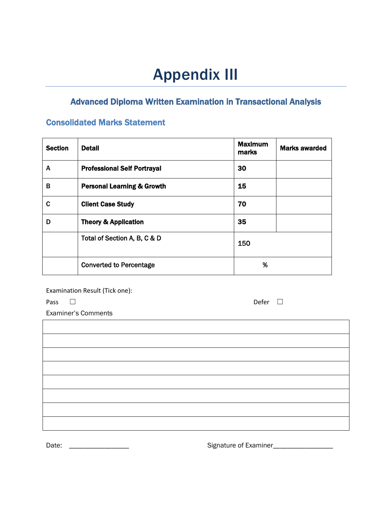## Appendix III

#### Advanced Diploma Written Examination in Transactional Analysis

#### Consolidated Marks Statement

| <b>Section</b> | <b>Detail</b>                         | <b>Maximum</b><br>marks | <b>Marks awarded</b> |
|----------------|---------------------------------------|-------------------------|----------------------|
| A              | <b>Professional Self Portrayal</b>    | 30                      |                      |
| в              | <b>Personal Learning &amp; Growth</b> | 15                      |                      |
| C              | <b>Client Case Study</b>              | 70                      |                      |
| D              | <b>Theory &amp; Application</b>       | 35                      |                      |
|                | Total of Section A, B, C & D          | 150                     |                      |
|                | <b>Converted to Percentage</b>        | %                       |                      |

Examination Result (Tick one):

Pass □ Defer □

Examiner's Comments

Date: \_\_\_\_\_\_\_\_\_\_\_\_\_\_\_\_\_ Signature of Examiner\_\_\_\_\_\_\_\_\_\_\_\_\_\_\_\_\_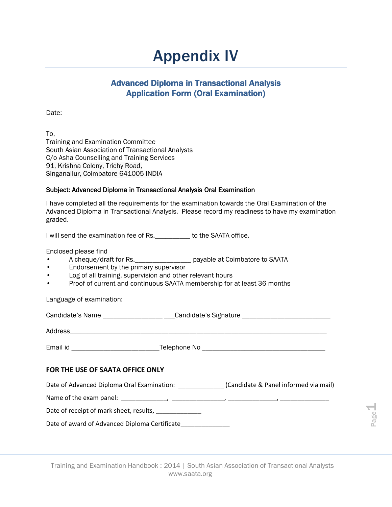### Appendix IV

#### Advanced Diploma in Transactional Analysis Application Form (Oral Examination)

Date:

To, Training and Examination Committee South Asian Association of Transactional Analysts C/o Asha Counselling and Training Services 91, Krishna Colony, Trichy Road, Singanallur, Coimbatore 641005 INDIA

#### Subject: Advanced Diploma in Transactional Analysis Oral Examination

I have completed all the requirements for the examination towards the Oral Examination of the Advanced Diploma in Transactional Analysis. Please record my readiness to have my examination graded.

I will send the examination fee of Rs.\_\_\_\_\_\_\_\_\_\_ to the SAATA office.

Enclosed please find

- A cheque/draft for Rs.\_\_\_\_\_\_\_\_\_\_\_\_\_\_\_\_ payable at Coimbatore to SAATA
- Endorsement by the primary supervisor
- Log of all training, supervision and other relevant hours
- Proof of current and continuous SAATA membership for at least 36 months

Language of examination:

Candidate's Name \_\_\_\_\_\_\_\_\_\_\_\_\_\_\_\_\_\_\_\_\_\_\_\_\_\_\_Candidate's Signature \_\_\_\_\_\_\_\_\_\_\_\_\_\_\_

Address\_\_\_\_\_\_\_\_\_\_\_\_\_\_\_\_\_\_\_\_\_\_\_\_\_\_\_\_\_\_\_\_\_\_\_\_\_\_\_\_\_\_\_\_\_\_\_\_\_\_\_\_\_\_\_\_\_\_\_\_\_\_\_\_\_\_\_\_\_\_\_\_\_

Email id \_\_\_\_\_\_\_\_\_\_\_\_\_\_\_\_\_\_\_\_\_\_\_\_\_Telephone No \_\_\_\_\_\_\_\_\_\_\_\_\_\_\_\_\_\_\_\_\_\_\_\_\_\_\_\_\_\_\_\_\_\_\_

#### **FOR THE USE OF SAATA OFFICE ONLY**

Date of Advanced Diploma Oral Examination: \_\_\_\_\_\_\_\_\_\_\_\_\_\_(Candidate & Panel informed via mail)

Name of the exam panel: \_\_\_\_\_\_\_\_\_\_\_\_\_, \_\_\_\_\_\_\_\_\_\_\_\_\_\_\_, \_\_\_\_\_\_\_\_\_\_\_\_\_\_, \_\_\_\_\_\_\_\_\_\_\_\_\_\_

Date of receipt of mark sheet, results, \_\_\_\_\_\_\_\_\_\_\_\_\_\_

Date of award of Advanced Diploma Certificate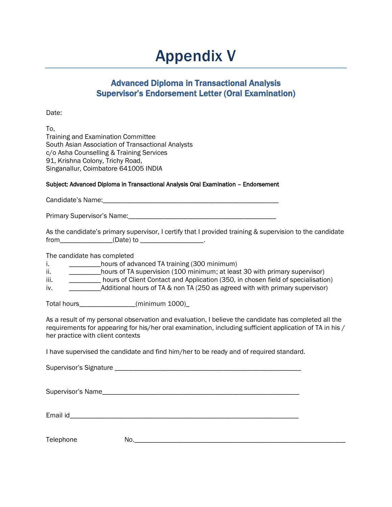### Appendix V

#### Advanced Diploma in Transactional Analysis Supervisor's Endorsement Letter (Oral Examination)

Date:

To, Training and Examination Committee South Asian Association of Transactional Analysts c/o Asha Counselling & Training Services 91, Krishna Colony, Trichy Road, Singanallur, Coimbatore 641005 INDIA

#### Subject: Advanced Diploma in Transactional Analysis Oral Examination – Endorsement

Candidate's Name:\_\_\_\_\_\_\_\_\_\_\_\_\_\_\_\_\_\_\_\_\_\_\_\_\_\_\_\_\_\_\_\_\_\_\_\_\_\_\_\_\_\_\_\_\_\_\_\_\_\_

Primary Supervisor's Name:\_\_\_\_\_\_\_\_\_\_\_\_\_\_\_\_\_\_\_\_\_\_\_\_\_\_\_\_\_\_\_\_\_\_\_\_\_\_\_\_\_\_

| As the candidate's primary supervisor, I certify that I provided training & supervision to the candidate |           |  |  |  |
|----------------------------------------------------------------------------------------------------------|-----------|--|--|--|
| from                                                                                                     | (Date) to |  |  |  |

The candidate has completed

i. \_\_\_\_\_\_\_\_\_\_\_hours of advanced TA training (300 minimum)

ii. \_\_\_\_\_\_\_\_\_\_\_\_hours of TA supervision (100 minimum; at least 30 with primary supervisor)

iii. \_\_\_\_\_\_\_\_\_ hours of Client Contact and Application (350, in chosen field of specialisation)

iv. \_\_\_\_\_\_\_\_\_Additional hours of TA & non TA (250 as agreed with with primary supervisor)

Total hours\_\_\_\_\_\_\_\_\_\_\_\_\_\_\_\_(minimum 1000)\_

As a result of my personal observation and evaluation, I believe the candidate has completed all the requirements for appearing for his/her oral examination, including sufficient application of TA in his / her practice with client contexts

I have supervised the candidate and find him/her to be ready and of required standard.

Supervisor's Signature **Example 2018** 

Supervisor's Name\_\_\_\_\_\_\_\_\_\_\_\_\_\_\_\_\_\_\_\_\_\_\_\_\_\_\_\_\_\_\_\_\_\_\_\_\_\_\_\_\_\_\_\_\_\_\_\_\_\_\_\_\_\_\_\_

Email id\_\_\_\_\_\_\_\_\_\_\_\_\_\_\_\_\_\_\_\_\_\_\_\_\_\_\_\_\_\_\_\_\_\_\_\_\_\_\_\_\_\_\_\_\_\_\_\_\_\_\_\_\_\_\_\_\_\_\_\_\_\_\_\_\_

Telephone No.